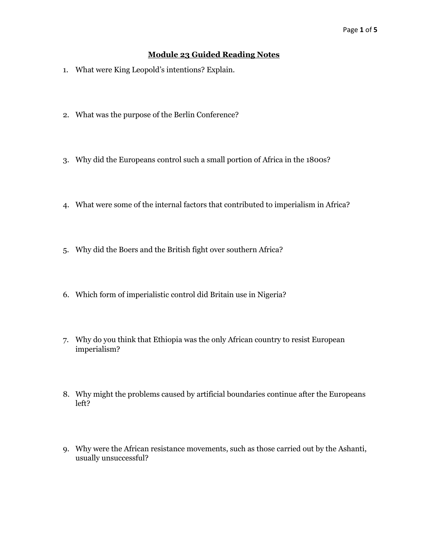## **Module 23 Guided Reading Notes**

- 1. What were King Leopold's intentions? Explain.
- 2. What was the purpose of the Berlin Conference?
- 3. Why did the Europeans control such a small portion of Africa in the 1800s?
- 4. What were some of the internal factors that contributed to imperialism in Africa?
- 5. Why did the Boers and the British fight over southern Africa?
- 6. Which form of imperialistic control did Britain use in Nigeria?
- 7. Why do you think that Ethiopia was the only African country to resist European imperialism?
- 8. Why might the problems caused by artificial boundaries continue after the Europeans left?
- 9. Why were the African resistance movements, such as those carried out by the Ashanti, usually unsuccessful?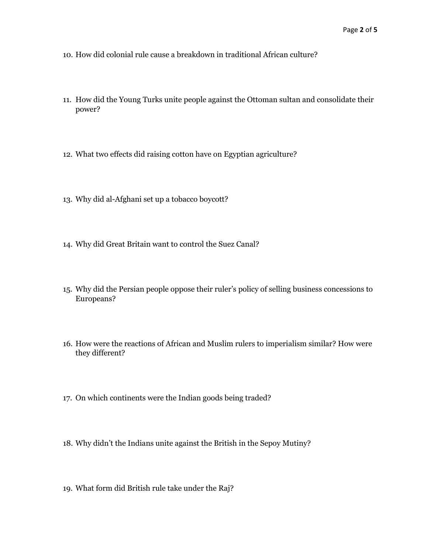- 10. How did colonial rule cause a breakdown in traditional African culture?
- 11. How did the Young Turks unite people against the Ottoman sultan and consolidate their power?
- 12. What two effects did raising cotton have on Egyptian agriculture?
- 13. Why did al-Afghani set up a tobacco boycott?
- 14. Why did Great Britain want to control the Suez Canal?
- 15. Why did the Persian people oppose their ruler's policy of selling business concessions to Europeans?
- 16. How were the reactions of African and Muslim rulers to imperialism similar? How were they different?
- 17. On which continents were the Indian goods being traded?
- 18. Why didn't the Indians unite against the British in the Sepoy Mutiny?
- 19. What form did British rule take under the Raj?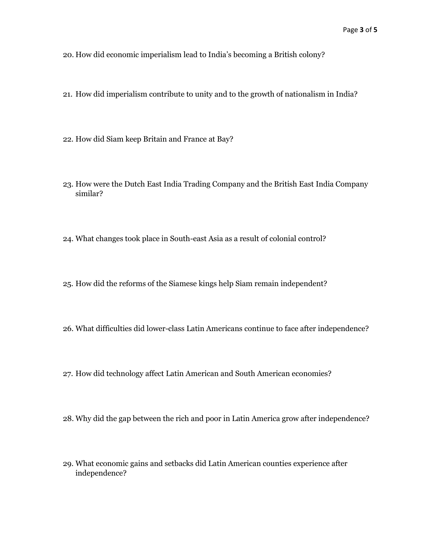20. How did economic imperialism lead to India's becoming a British colony?

- 21. How did imperialism contribute to unity and to the growth of nationalism in India?
- 22. How did Siam keep Britain and France at Bay?
- 23. How were the Dutch East India Trading Company and the British East India Company similar?
- 24. What changes took place in South-east Asia as a result of colonial control?
- 25. How did the reforms of the Siamese kings help Siam remain independent?
- 26. What difficulties did lower-class Latin Americans continue to face after independence?
- 27. How did technology affect Latin American and South American economies?
- 28. Why did the gap between the rich and poor in Latin America grow after independence?
- 29. What economic gains and setbacks did Latin American counties experience after independence?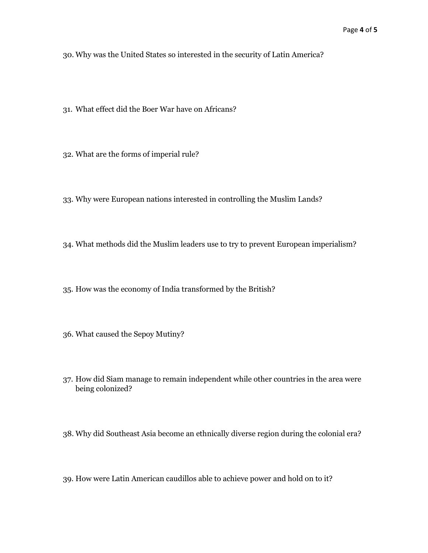30. Why was the United States so interested in the security of Latin America?

- 31. What effect did the Boer War have on Africans?
- 32. What are the forms of imperial rule?
- 33. Why were European nations interested in controlling the Muslim Lands?
- 34. What methods did the Muslim leaders use to try to prevent European imperialism?
- 35. How was the economy of India transformed by the British?
- 36. What caused the Sepoy Mutiny?
- 37. How did Siam manage to remain independent while other countries in the area were being colonized?
- 38. Why did Southeast Asia become an ethnically diverse region during the colonial era?
- 39. How were Latin American caudillos able to achieve power and hold on to it?